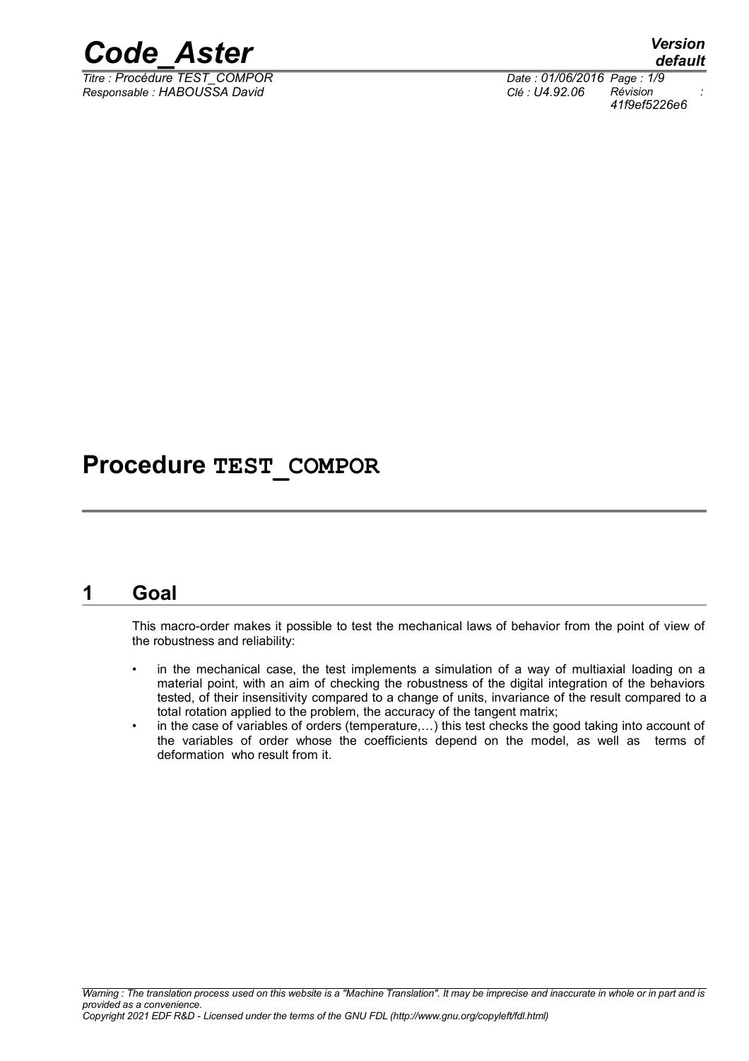

*Titre : Procédure TEST\_COMPOR Date : 01/06/2016 Page : 1/9 Responsable : HABOUSSA David Clé : U4.92.06 Révision :*

*default*

*41f9ef5226e6*

### **Procedure TEST\_COMPOR**

### **1 Goal**

This macro-order makes it possible to test the mechanical laws of behavior from the point of view of the robustness and reliability:

- in the mechanical case, the test implements a simulation of a way of multiaxial loading on a material point, with an aim of checking the robustness of the digital integration of the behaviors tested, of their insensitivity compared to a change of units, invariance of the result compared to a total rotation applied to the problem, the accuracy of the tangent matrix;
- in the case of variables of orders (temperature,…) this test checks the good taking into account of the variables of order whose the coefficients depend on the model, as well as terms of deformation who result from it.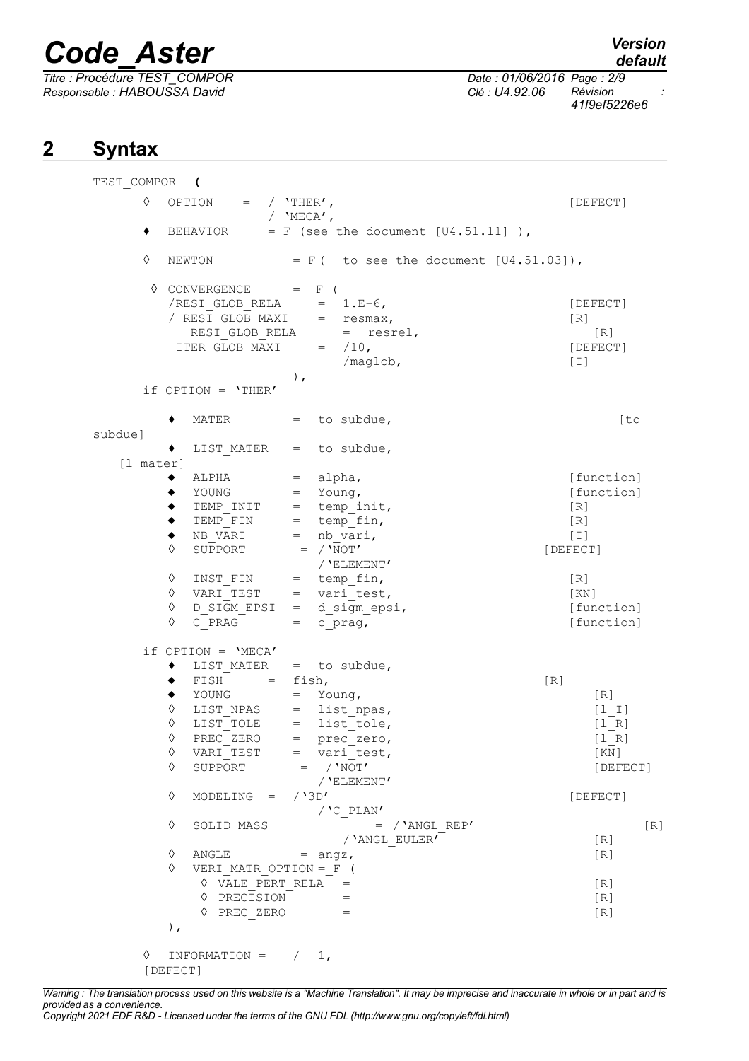*Titre : Procédure TEST\_COMPOR Date : 01/06/2016 Page : 2/9 Responsable : HABOUSSA David Clé : U4.92.06 Révision :*

*41f9ef5226e6*

### **2 Syntax**

| TEST COMPOR ( |                                     |                                                                                     |                    |
|---------------|-------------------------------------|-------------------------------------------------------------------------------------|--------------------|
| ♦             | OPTION = $/$ 'THER',                | / $'$ MECA $'$ ,                                                                    | [DEFECT]           |
| ٠             | BEHAVIOR                            | $=$ F (see the document $[U4.51.11]$ ),                                             |                    |
| ♦             | NEWTON                              | $= F($ to see the document $[U4.51.03]$ ),                                          |                    |
|               | $\Diamond$ CONVERGENCE = $_F$ (     |                                                                                     |                    |
|               |                                     | $/RESI_GLOB_RELA$ = 1.E-6,                                                          | [DEFECT]           |
|               |                                     | $/ RESI_GLOB_MAXI$ = resmax,<br>  RESI_GLOB_RELA = resrel,<br>ITER_GLOB_MAXI = /10, | [R]                |
|               |                                     |                                                                                     | [R]                |
|               |                                     |                                                                                     | [DEFECT]           |
|               |                                     | /maglob,<br>$)$ ,                                                                   | $[1]$              |
|               | if OPTION = $'$ THER'               |                                                                                     |                    |
|               |                                     |                                                                                     |                    |
|               | MATER<br>٠                          | $=$ to subdue,                                                                      | [to]               |
| subdue]       |                                     |                                                                                     |                    |
|               |                                     | LIST MATER $=$ to subdue,                                                           |                    |
| [1 mater]     |                                     |                                                                                     | [function]         |
|               |                                     | $ALPHA$ = $alpha$ ,<br>$\texttt{YOUNG}$ = $\texttt{Young}$ ,                        | [function]         |
|               |                                     |                                                                                     | [R]                |
|               | ٠                                   | TEMP_INIT = temp_init,<br>TEMP_FIN = temp_fin,<br>NB_VARI = nb_vari,                | [R]                |
|               | ٠                                   |                                                                                     | $[1]$              |
|               | $\overline{\mathtt{SUE}}$ PORT<br>♦ | $=$ / $'NOT'$                                                                       | [DEFECT]           |
|               |                                     | / 'ELEMENT'                                                                         |                    |
|               | INST_FIN<br>♦<br>♦                  | $=$ temp fin,<br>$VARI$ TEST = vari_test,                                           | [R]                |
|               | ♦                                   | $D$ SIGM EPSI = d sigm epsi,                                                        | [KN]<br>[function] |
|               | ♦                                   | $C$ PRAG = $c$ prag,                                                                | [function]         |
|               | if $OPTION = 'MECA'$                |                                                                                     |                    |
|               |                                     | LIST MATER $=$ to subdue,                                                           |                    |
|               | $FISH = fish,$                      |                                                                                     | [R]                |
|               | YOUNG<br>٠                          | $=$ Young,                                                                          | [R]                |
|               | ♦<br>♦                              | LIST_NPAS = list_npas,<br>LIST_TOLE = list_tole,                                    | $[1 1]$            |
|               | ♦                                   | PREC ZERO = $prec$ zero,                                                            | $[1 R]$<br>$[1_R]$ |
|               | ♦                                   | $VARI TEST$ = $vari$ test,                                                          | [ KN ]             |
|               | ♦                                   | SUPPORT $=$ / 'NOT'                                                                 | [DEFECT]           |
|               |                                     | / 'ELEMENT'                                                                         |                    |
|               | ♦<br>MODELING = $/3D'$              |                                                                                     | [DEFECT]           |
|               | ♦<br>SOLID MASS                     | $/$ 'C_PLAN'<br>$=$ / 'ANGL REP'                                                    |                    |
|               |                                     | / 'ANGL EULER'                                                                      | [R]<br>[R]         |
|               | ♦                                   | $\angle$ ANGLE = $\angle$ angz,                                                     | [R]                |
|               | ♦                                   | VERI MATR_OPTION = $_F$ (                                                           |                    |
|               |                                     | $\Diamond$ VALE PERT RELA =                                                         | [R]                |
|               | ♦ PRECISION                         | $=$                                                                                 | [R]                |
|               | $\Diamond$ PREC ZERO                | $\mathcal{L} = \mathcal{L} \mathcal{L} = \mathcal{L}$                               | [R]                |
|               | $)$ ,                               |                                                                                     |                    |
| ♦             | $INFORMATION = /$                   | 1,                                                                                  |                    |
|               | [DEFECT]                            |                                                                                     |                    |

*Warning : The translation process used on this website is a "Machine Translation". It may be imprecise and inaccurate in whole or in part and is provided as a convenience. Copyright 2021 EDF R&D - Licensed under the terms of the GNU FDL (http://www.gnu.org/copyleft/fdl.html)*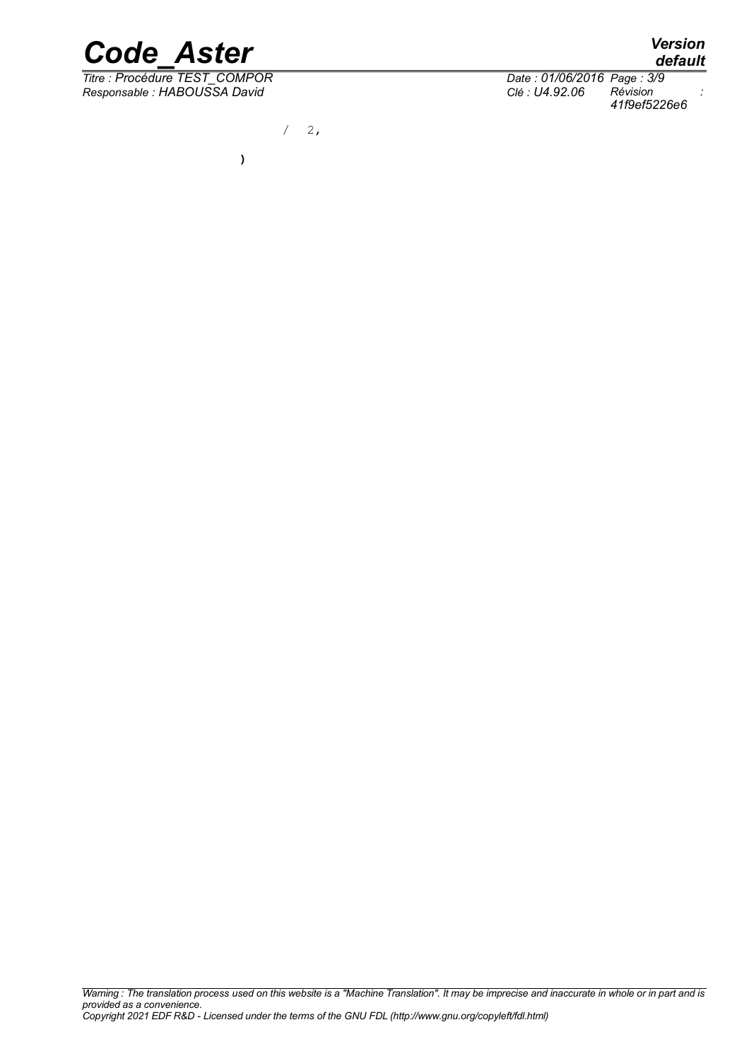

*Titre : Procédure TEST\_COMPOR Date : 01/06/2016 Page : 3/9*

*Responsable : HABOUSSA David Clé : U4.92.06 Révision : 41f9ef5226e6*

 $/ 2,$ 

**)**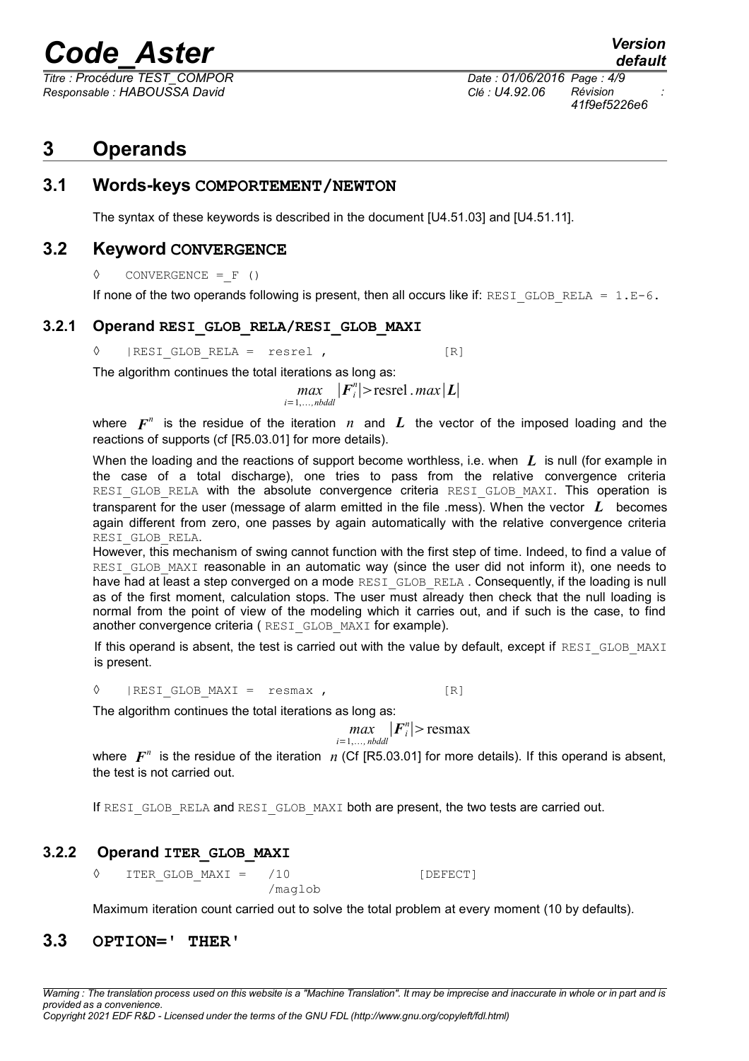*Titre : Procédure TEST\_COMPOR Date : 01/06/2016 Page : 4/9 Responsable : HABOUSSA David Clé : U4.92.06 Révision :*

*41f9ef5226e6*

### **3 Operands**

**3.1 Words-keys COMPORTEMENT/NEWTON** 

The syntax of these keywords is described in the document [U4.51.03] and [U4.51.11].

### **3.2 Keyword CONVERGENCE**

**◊** CONVERGENCE =\_F ()

If none of the two operands following is present, then all occurs like if: RESI GLOB RELA =  $1.E-6$ .

### **3.2.1 Operand RESI\_GLOB\_RELA/RESI\_GLOB\_MAXI**

◊ |RESI\_GLOB\_RELA = resrel , [R]

The algorithm continues the total iterations as long as:

*max*<sub>i=1,...,*nbddl*</sub>  $|F_i^n|$ >resrel .*max*|*L*|

where  $\boldsymbol{F}^n$  is the residue of the iteration  $\boldsymbol{n}$  and  $\boldsymbol{L}$  the vector of the imposed loading and the reactions of supports (cf [R5.03.01] for more details).

When the loading and the reactions of support become worthless, i.e. when *L* is null (for example in the case of a total discharge), one tries to pass from the relative convergence criteria RESI GLOB RELA with the absolute convergence criteria RESI GLOB MAXI. This operation is transparent for the user (message of alarm emitted in the file .mess). When the vector *L* becomes again different from zero, one passes by again automatically with the relative convergence criteria RESI\_GLOB\_RELA.

However, this mechanism of swing cannot function with the first step of time. Indeed, to find a value of RESI GLOB MAXI reasonable in an automatic way (since the user did not inform it), one needs to have had at least a step converged on a mode RESI GLOB RELA. Consequently, if the loading is null as of the first moment, calculation stops. The user must already then check that the null loading is normal from the point of view of the modeling which it carries out, and if such is the case, to find another convergence criteria (RESI\_GLOB\_MAXI for example).

If this operand is absent, the test is carried out with the value by default, except if RESI\_GLOB\_MAXI is present.

 $\Diamond$  | RESI GLOB MAXI = resmax , [R]

The algorithm continues the total iterations as long as:

$$
\max_{i=1,\dots,\text{nbddl}} |F_i^n| > \text{resmax}
$$

where  $\bm{F}^n$  is the residue of the iteration  $n$  (Cf [R5.03.01] for more details). If this operand is absent, the test is not carried out.

If RESI GLOB RELA and RESI GLOB MAXI both are present, the two tests are carried out.

### **3.2.2 Operand ITER\_GLOB\_MAXI**

◊ ITER\_GLOB\_MAXI = /10 [DEFECT] /maglob

Maximum iteration count carried out to solve the total problem at every moment (10 by defaults).

### **3.3 OPTION=' THER'**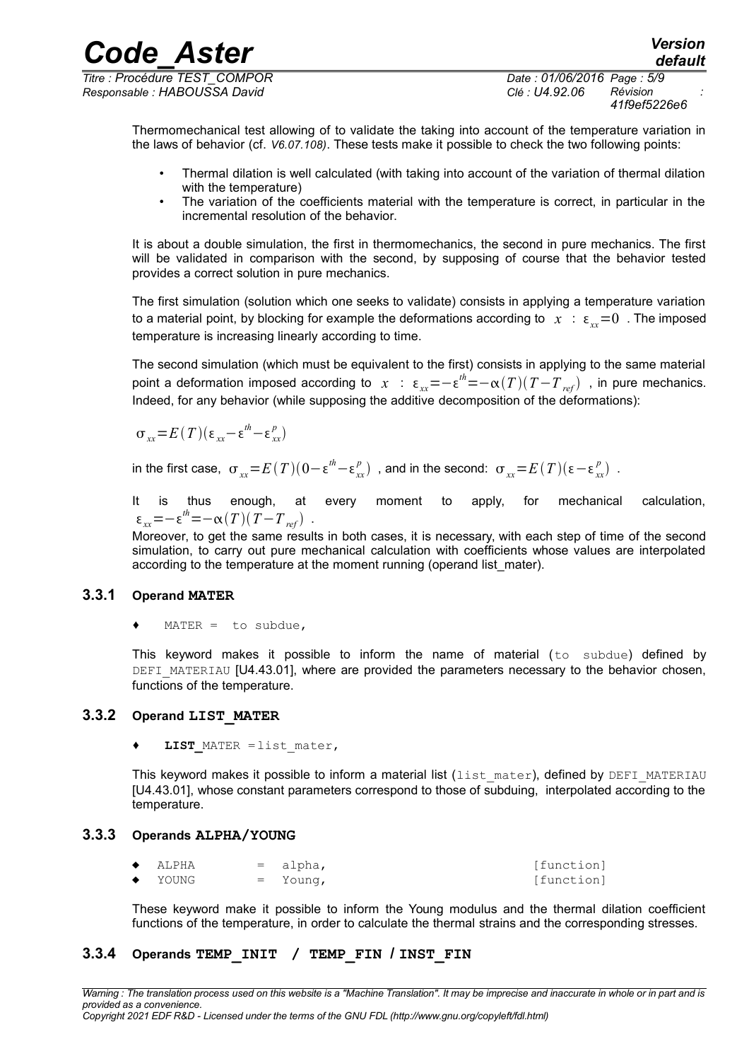*Titre : Procédure TEST\_COMPOR Date : 01/06/2016 Page : 5/9 Responsable : HABOUSSA David Clé : U4.92.06 Révision :*

*41f9ef5226e6*

*default*

Thermomechanical test allowing of to validate the taking into account of the temperature variation in the laws of behavior (cf. *V6.07.108)*. These tests make it possible to check the two following points:

*Code\_Aster Version*

- Thermal dilation is well calculated (with taking into account of the variation of thermal dilation with the temperature)
- The variation of the coefficients material with the temperature is correct, in particular in the incremental resolution of the behavior.

It is about a double simulation, the first in thermomechanics, the second in pure mechanics. The first will be validated in comparison with the second, by supposing of course that the behavior tested provides a correct solution in pure mechanics.

The first simulation (solution which one seeks to validate) consists in applying a temperature variation to a material point, by blocking for example the deformations according to  $x : \epsilon_{xx} = 0$ . The imposed temperature is increasing linearly according to time.

The second simulation (which must be equivalent to the first) consists in applying to the same material point a deformation imposed according to  $x$  :  $\epsilon_{xx}$ =− $\epsilon^{th}$ =− $\alpha(T)(T-T_{_{ref}})$  , in pure mechanics. Indeed, for any behavior (while supposing the additive decomposition of the deformations):

$$
\sigma_{xx} = E(T)(\varepsilon_{xx} - \varepsilon^{th} - \varepsilon_{xx}^p)
$$

in the first case,  $\sigma_{xx} {=} E(T) (0 {-} \epsilon^{th} {-} \epsilon_{xx}^p)$  , and in the second:  $\sigma_{xx} {=} E(T) (\epsilon {-} \epsilon_{xx}^p)$  .

It is thus enough, at every moment to apply, for mechanical calculation,  $\varepsilon_{xx} = -\varepsilon^{th} = -\alpha(T)(T - T_{ref})$ .

Moreover, to get the same results in both cases, it is necessary, with each step of time of the second simulation, to carry out pure mechanical calculation with coefficients whose values are interpolated according to the temperature at the moment running (operand list\_mater).

### **3.3.1 Operand MATER**

MATER = to subdue,

This keyword makes it possible to inform the name of material (to subdue) defined by DEFI\_MATERIAU [U4.43.01], where are provided the parameters necessary to the behavior chosen, functions of the temperature.

### **3.3.2 Operand LIST\_MATER**

**LIST** MATER = list mater,

This keyword makes it possible to inform a material list (list mater), defined by DEFI\_MATERIAU [U4.43.01], whose constant parameters correspond to those of subduing, interpolated according to the temperature.

#### **3.3.3 Operands ALPHA/YOUNG**

| $\bullet$ | ALPHA | $=$ alpha, | [function] |
|-----------|-------|------------|------------|
| $\bullet$ | YOUNG | $=$ Young, | [function] |

These keyword make it possible to inform the Young modulus and the thermal dilation coefficient functions of the temperature, in order to calculate the thermal strains and the corresponding stresses.

### **3.3.4 Operands TEMP\_INIT / TEMP\_FIN / INST\_FIN**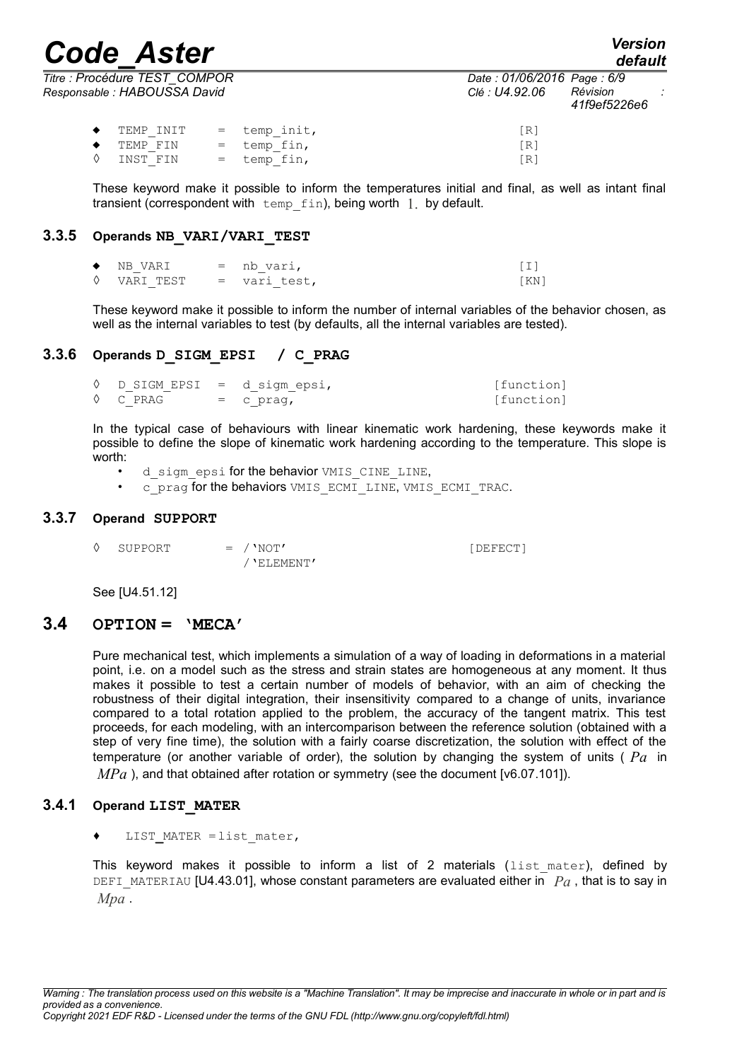*default*

|                                                               |  |                      |                                | --------                                                                 |               |
|---------------------------------------------------------------|--|----------------------|--------------------------------|--------------------------------------------------------------------------|---------------|
| Titre : Procédure TEST_COMPOR<br>Responsable : HABOUSSA David |  |                      |                                | Date: 01/06/2016 Page: 6/9<br>Révision<br>Clé : U4.92.06<br>41f9ef5226e6 | $\sim$ $\sim$ |
|                                                               |  | TEMP INIT            | $=$ temp init,                 | [R]                                                                      |               |
|                                                               |  | TEMP FIN<br>INST FIN | $=$ temp fin,<br>$=$ temp fin, | [R]<br>R.                                                                |               |

These keyword make it possible to inform the temperatures initial and final, as well as intant final transient (correspondent with  $temp$   $fin$ ), being worth  $1$ , by default.

### **3.3.5 Operands NB\_VARI/VARI\_TEST**

| $\bullet$ NR VART | $=$ nb vari, |      |
|-------------------|--------------|------|
| ♦ VARI TEST       | = vari test, | [KN] |

These keyword make it possible to inform the number of internal variables of the behavior chosen, as well as the internal variables to test (by defaults, all the internal variables are tested).

### **3.3.6 Operands D\_SIGM\_EPSI / C\_PRAG**

| $\lozenge$ D SIGM EPSI = d sigm epsi, |             | [function] |
|---------------------------------------|-------------|------------|
| ◊ C PRAG                              | $=$ c praq, | [function] |

In the typical case of behaviours with linear kinematic work hardening, these keywords make it possible to define the slope of kinematic work hardening according to the temperature. This slope is worth:

- d sigm epsi for the behavior VMIS CINE LINE,
- c\_prag for the behaviors VMIS\_ECMI\_LINE, VMIS\_ECMI\_TRAC.

#### **3.3.7 Operand SUPPORT**

◊ SUPPORT = /'NOT' [DEFECT] /'ELEMENT'

See [U4.51.12]

### **3.4 OPTION = 'MECA'**

Pure mechanical test, which implements a simulation of a way of loading in deformations in a material point, i.e. on a model such as the stress and strain states are homogeneous at any moment. It thus makes it possible to test a certain number of models of behavior, with an aim of checking the robustness of their digital integration, their insensitivity compared to a change of units, invariance compared to a total rotation applied to the problem, the accuracy of the tangent matrix. This test proceeds, for each modeling, with an intercomparison between the reference solution (obtained with a step of very fine time), the solution with a fairly coarse discretization, the solution with effect of the temperature (or another variable of order), the solution by changing the system of units ( *Pa* in *MPa* ), and that obtained after rotation or symmetry (see the document [v6.07.101]).

### **3.4.1 Operand LIST\_MATER**

**♦** LIST**\_**MATER =list\_mater,

This keyword makes it possible to inform a list of 2 materials (list mater), defined by DEFI\_MATERIAU [U4.43.01], whose constant parameters are evaluated either in  $Pa$ , that is to say in *Mpa* .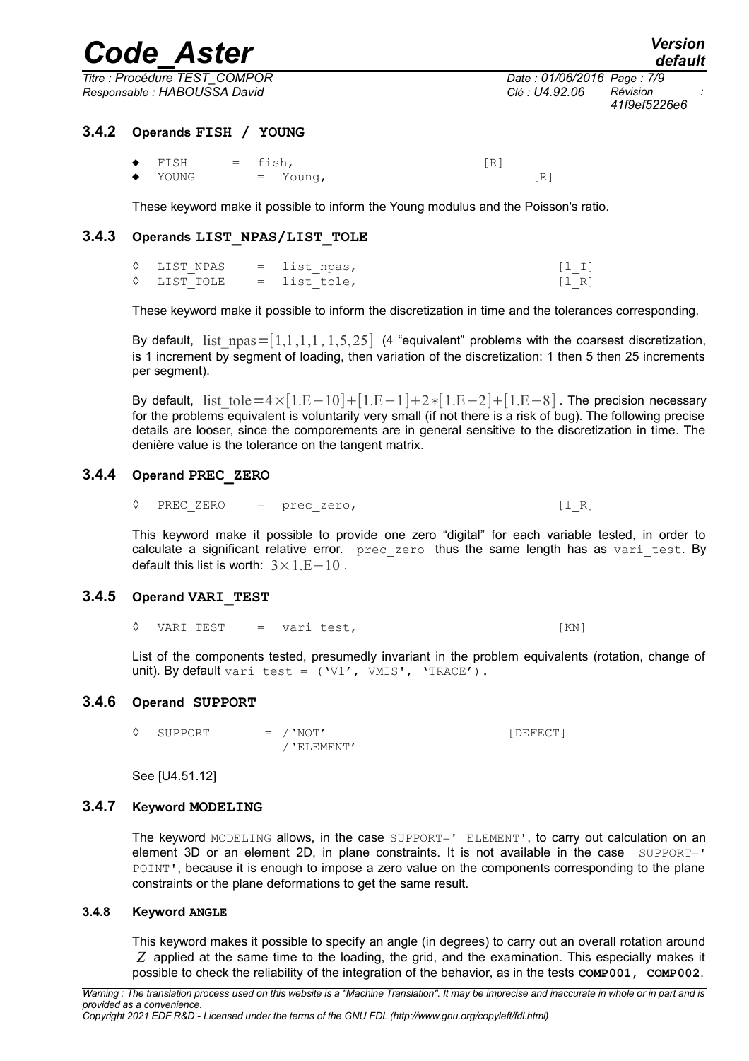*Titre : Procédure TEST\_COMPOR Date : 01/06/2016 Page : 7/9 Responsable : HABOUSSA David Clé : U4.92.06 Révision :*

*Warning : The translation process used on this website is a "Machine Translation". It may be imprecise and inaccurate in whole or in part and is provided as a convenience. Copyright 2021 EDF R&D - Licensed under the terms of the GNU FDL (http://www.gnu.org/copyleft/fdl.html)*

 $\bullet$  FISH = fish,  $[R]$  $\bullet$  YOUNG = Young,  $[R]$ 

These keyword make it possible to inform the Young modulus and the Poisson's ratio.

### **3.4.3 Operands LIST\_NPAS/LIST\_TOLE**

◊ LIST\_NPAS = list\_npas, [l\_I]  $\Diamond$  LIST TOLE = list tole, [l R]

These keyword make it possible to inform the discretization in time and the tolerances corresponding.

By default, list  $npas=[1,1,1,1,1,5,25]$  (4 "equivalent" problems with the coarsest discretization, is 1 increment by segment of loading, then variation of the discretization: 1 then 5 then 25 increments per segment).

By default, list tole=4×[1.E−10]+[1.E−1]+2∗[1.E−2]+[1.E−8]. The precision necessary for the problems equivalent is voluntarily very small (if not there is a risk of bug). The following precise details are looser, since the comporements are in general sensitive to the discretization in time. The denière value is the tolerance on the tangent matrix.

### **3.4.4 Operand PREC\_ZERO**

 $\Diamond$  PREC ZERO = prec\_zero, [l\_R]

This keyword make it possible to provide one zero "digital" for each variable tested, in order to calculate a significant relative error. prec\_zero thus the same length has as vari\_test. By default this list is worth:  $3 \times 1$ . E − 10.

### **3.4.5 Operand VARI\_TEST**

◊ VARI\_TEST = vari\_test, [KN]

List of the components tested, presumedly invariant in the problem equivalents (rotation, change of unit). By default vari test =  $(V1', VMIS', 'TRACE')$ .

### **3.4.6 Operand SUPPORT**

◊ SUPPORT = /'NOT' [DEFECT] /'ELEMENT'

See [U4.51.12]

### **3.4.7 Keyword MODELING**

The keyword MODELING allows, in the case SUPPORT=' ELEMENT', to carry out calculation on an element 3D or an element 2D, in plane constraints. It is not available in the case  $\text{SUPPORT} = '$ POINT', because it is enough to impose a zero value on the components corresponding to the plane constraints or the plane deformations to get the same result.

### **3.4.8 Keyword ANGLE**

This keyword makes it possible to specify an angle (in degrees) to carry out an overall rotation around *Z* applied at the same time to the loading, the grid, and the examination. This especially makes it possible to check the reliability of the integration of the behavior, as in the tests **COMP001, COMP002**.

*41f9ef5226e6*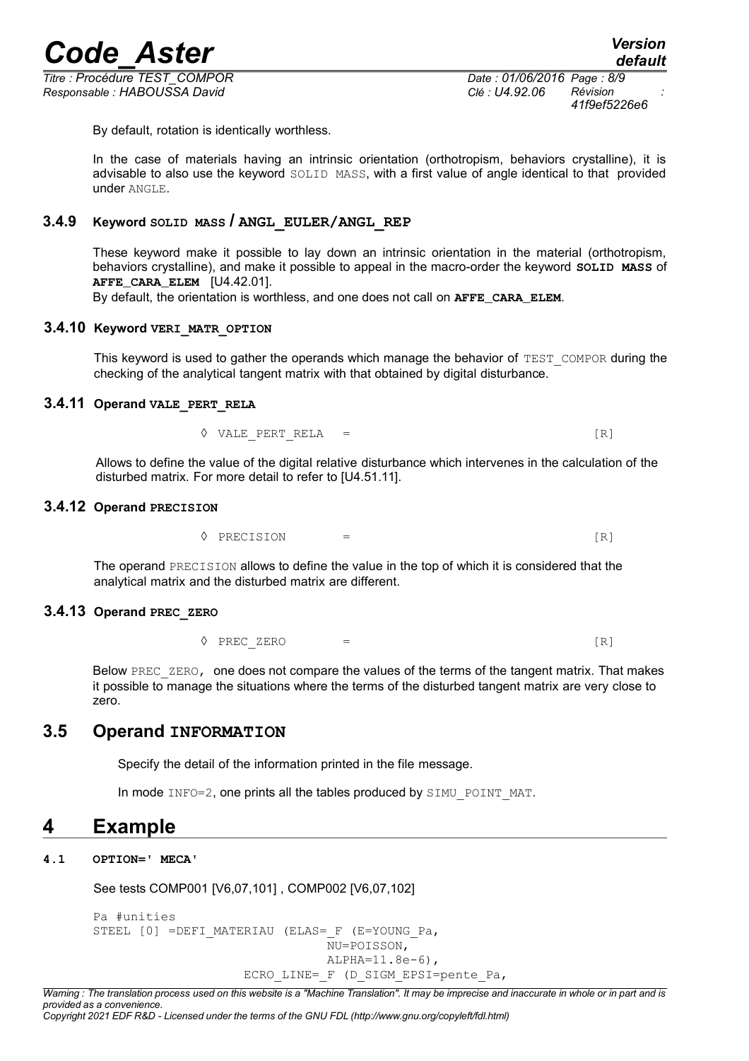*Titre : Procédure TEST\_COMPOR Date : 01/06/2016 Page : 8/9 Responsable : HABOUSSA David Clé : U4.92.06 Révision :*

*41f9ef5226e6*

By default, rotation is identically worthless.

In the case of materials having an intrinsic orientation (orthotropism, behaviors crystalline), it is advisable to also use the keyword SOLID MASS, with a first value of angle identical to that provided under ANGLE.

### **3.4.9 Keyword SOLID MASS / ANGL\_EULER/ANGL\_REP**

These keyword make it possible to lay down an intrinsic orientation in the material (orthotropism, behaviors crystalline), and make it possible to appeal in the macro-order the keyword **SOLID MASS** of **AFFE\_CARA\_ELEM** [U4.42.01].

By default, the orientation is worthless, and one does not call on **AFFE\_CARA\_ELEM**.

### **3.4.10 Keyword VERI\_MATR\_OPTION**

This keyword is used to gather the operands which manage the behavior of  $TEST$  COMPOR during the checking of the analytical tangent matrix with that obtained by digital disturbance.

### **3.4.11 Operand VALE\_PERT\_RELA**

 $\Diamond$  VALE PERT RELA = [R]

Allows to define the value of the digital relative disturbance which intervenes in the calculation of the disturbed matrix. For more detail to refer to [U4.51.11].

### **3.4.12 Operand PRECISION**

 $\Diamond$  PRECISION =

The operand PRECISION allows to define the value in the top of which it is considered that the analytical matrix and the disturbed matrix are different.

### **3.4.13 Operand PREC\_ZERO**

**◊** PREC\_ZERO = [R]

Below PREC ZERO, one does not compare the values of the terms of the tangent matrix. That makes it possible to manage the situations where the terms of the disturbed tangent matrix are very close to zero.

### **3.5 Operand INFORMATION**

Specify the detail of the information printed in the file message.

In mode INFO=2, one prints all the tables produced by SIMU\_POINT\_MAT.

### **4 Example**

### **4.1 OPTION=' MECA'**

See tests COMP001 [V6,07,101] , COMP002 [V6,07,102]

```
Pa #unities
STEEL [0] =DEFI_MATERIAU (ELAS= F (E=YOUNG Pa,
                                 NU=POISSON,
                                 ALPHA=11.8e-6),
                    ECRO LINE= F (D SIGM EPSI=pente Pa,
```